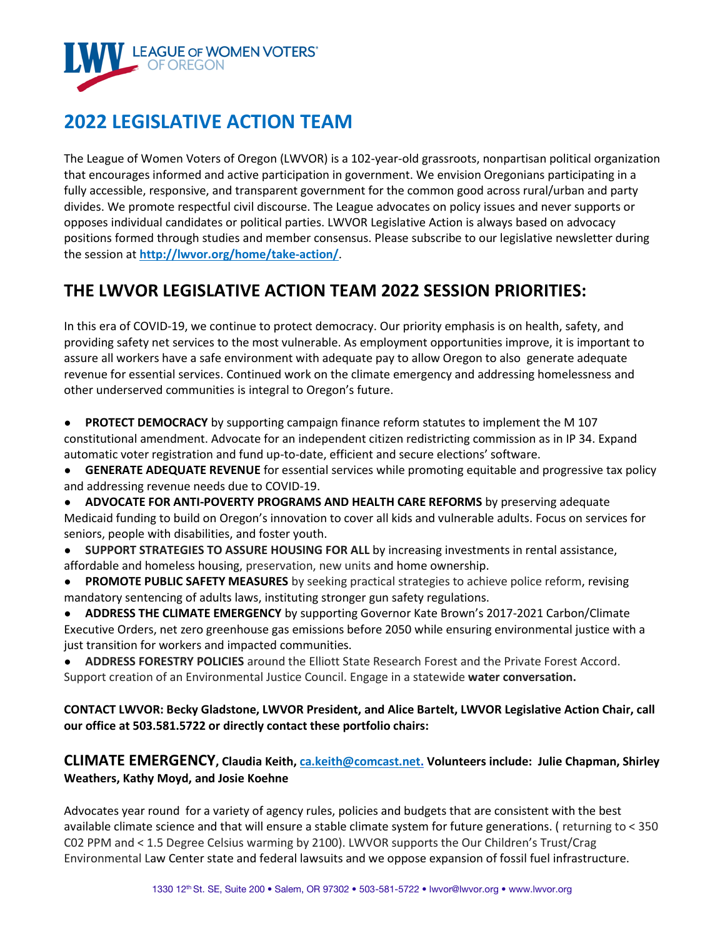

# **2022 LEGISLATIVE ACTION TEAM**

The League of Women Voters of Oregon (LWVOR) is a 102-year-old grassroots, nonpartisan political organization that encourages informed and active participation in government. We envision Oregonians participating in a fully accessible, responsive, and transparent government for the common good across rural/urban and party divides. We promote respectful civil discourse. The League advocates on policy issues and never supports or opposes individual candidates or political parties. LWVOR Legislative Action is always based on advocacy positions formed through studies and member consensus. Please subscribe to our legislative newsletter during the session at **http://lwvor.org/home/take-action/**.

# **THE LWVOR LEGISLATIVE ACTION TEAM 2022 SESSION PRIORITIES:**

In this era of COVID-19, we continue to protect democracy. Our priority emphasis is on health, safety, and providing safety net services to the most vulnerable. As employment opportunities improve, it is important to assure all workers have a safe environment with adequate pay to allow Oregon to also generate adequate revenue for essential services. Continued work on the climate emergency and addressing homelessness and other underserved communities is integral to Oregon's future.

● **PROTECT DEMOCRACY** by supporting campaign finance reform statutes to implement the M 107 constitutional amendment. Advocate for an independent citizen redistricting commission as in IP 34. Expand automatic voter registration and fund up-to-date, efficient and secure elections' software.

- **GENERATE ADEQUATE REVENUE** for essential services while promoting equitable and progressive tax policy and addressing revenue needs due to COVID-19.
- **ADVOCATE FOR ANTI-POVERTY PROGRAMS AND HEALTH CARE REFORMS** by preserving adequate Medicaid funding to build on Oregon's innovation to cover all kids and vulnerable adults. Focus on services for seniors, people with disabilities, and foster youth.
- **SUPPORT STRATEGIES TO ASSURE HOUSING FOR ALL by increasing investments in rental assistance,** affordable and homeless housing, preservation, new units and home ownership.
- **PROMOTE PUBLIC SAFETY MEASURES** by seeking practical strategies to achieve police reform, revising mandatory sentencing of adults laws, instituting stronger gun safety regulations.

● **ADDRESS THE CLIMATE EMERGENCY** by supporting Governor Kate Brown's 2017-2021 Carbon/Climate Executive Orders, net zero greenhouse gas emissions before 2050 while ensuring environmental justice with a just transition for workers and impacted communities.

● **ADDRESS FORESTRY POLICIES** around the Elliott State Research Forest and the Private Forest Accord. Support creation of an Environmental Justice Council. Engage in a statewide **water conversation.**

**CONTACT LWVOR: Becky Gladstone, LWVOR President, and Alice Bartelt, LWVOR Legislative Action Chair, call our office at 503.581.5722 or directly contact these portfolio chairs:** 

**CLIMATE EMERGENCY, Claudia Keith, ca.keith@comcast.net. Volunteers include: Julie Chapman, Shirley Weathers, Kathy Moyd, and Josie Koehne**

Advocates year round for a variety of agency rules, policies and budgets that are consistent with the best available climate science and that will ensure a stable climate system for future generations. ( returning to < 350 C02 PPM and < 1.5 Degree Celsius warming by 2100). LWVOR supports the Our Children's Trust/Crag Environmental Law Center state and federal lawsuits and we oppose expansion of fossil fuel infrastructure.